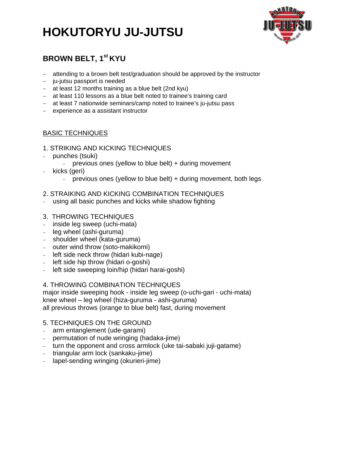# **HOKUTORYU JU-JUTSU**



## **BROWN BELT, 1st KYU**

- attending to a brown belt test/graduation should be approved by the instructor
- ju-jutsu passport is needed
- at least 12 months training as a blue belt (2nd kyu)
- at least 110 lessons as a blue belt noted to trainee's training card
- at least 7 nationwide seminars/camp noted to trainee's ju-jutsu pass
- experience as a assistant instructor

## BASIC TECHNIQUES

- 1. STRIKING AND KICKING TECHNIQUES
- punches (tsuki)
	- previous ones (yellow to blue belt)  $+$  during movement
- kicks (geri)
	- previous ones (yellow to blue belt) + during movement, both legs

## 2. STRAIKING AND KICKING COMBINATION TECHNIQUES

- using all basic punches and kicks while shadow fighting
- 3. THROWING TECHNIQUES
- inside leg sweep (uchi-mata)
- leg wheel (ashi-guruma)
- $-$  shoulder wheel (kata-guruma)
- outer wind throw (soto-makikomi)
- left side neck throw (hidari kubi-nage)
- left side hip throw (hidari o-goshi)
- left side sweeping loin/hip (hidari harai-goshi)

## 4. THROWING COMBINATION TECHNIQUES

major inside sweeping hook - inside leg sweep (o-uchi-gari - uchi-mata) knee wheel – leg wheel (hiza-guruma - ashi-guruma) all previous throws (orange to blue belt) fast, during movement

## 5. TECHNIQUES ON THE GROUND

- arm entanglement (ude-garami)
- permutation of nude wringing (hadaka-jime)
- turn the opponent and cross armlock (uke tai-sabaki juji-gatame)
- triangular arm lock (sankaku-jime)
- lapel-sending wringing (okurieri-jime)